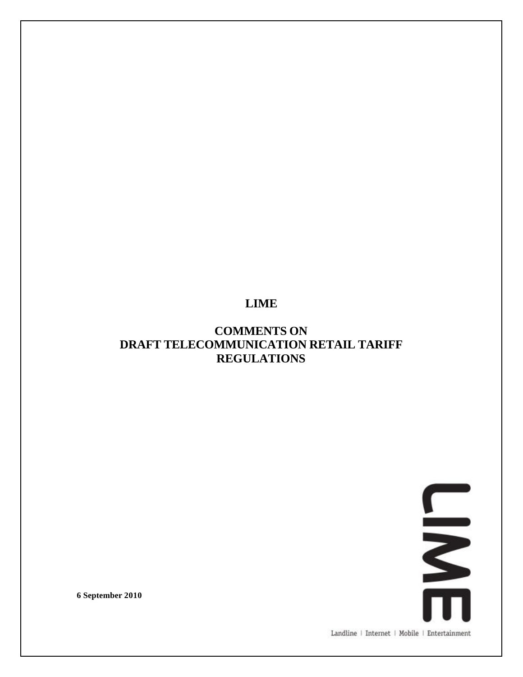# **LIME**

# **COMMENTS ON DRAFT TELECOMMUNICATION RETAIL TARIFF REGULATIONS**

**SWAR** 

**6 September 2010**

Landline | Internet | Mobile | Entertainment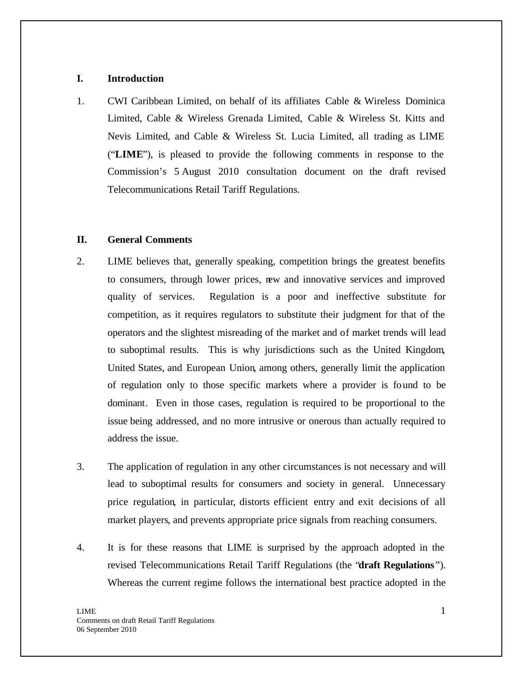#### **I. Introduction**

1. CWI Caribbean Limited, on behalf of its affiliates Cable & Wireless Dominica Limited, Cable & Wireless Grenada Limited, Cable & Wireless St. Kitts and Nevis Limited, and Cable & Wireless St. Lucia Limited, all trading as LIME ("**LIME**"), is pleased to provide the following comments in response to the Commission's 5 August 2010 consultation document on the draft revised Telecommunications Retail Tariff Regulations.

## **II. General Comments**

- 2. LIME believes that, generally speaking, competition brings the greatest benefits to consumers, through lower prices, new and innovative services and improved quality of services. Regulation is a poor and ineffective substitute for competition, as it requires regulators to substitute their judgment for that of the operators and the slightest misreading of the market and of market trends will lead to suboptimal results. This is why jurisdictions such as the United Kingdom, United States, and European Union, among others, generally limit the application of regulation only to those specific markets where a provider is found to be dominant. Even in those cases, regulation is required to be proportional to the issue being addressed, and no more intrusive or onerous than actually required to address the issue.
- 3. The application of regulation in any other circumstances is not necessary and will lead to suboptimal results for consumers and society in general. Unnecessary price regulation, in particular, distorts efficient entry and exit decisions of all market players, and prevents appropriate price signals from reaching consumers.
- 4. It is for these reasons that LIME is surprised by the approach adopted in the revised Telecommunications Retail Tariff Regulations (the "**draft Regulations** "). Whereas the current regime follows the international best practice adopted in the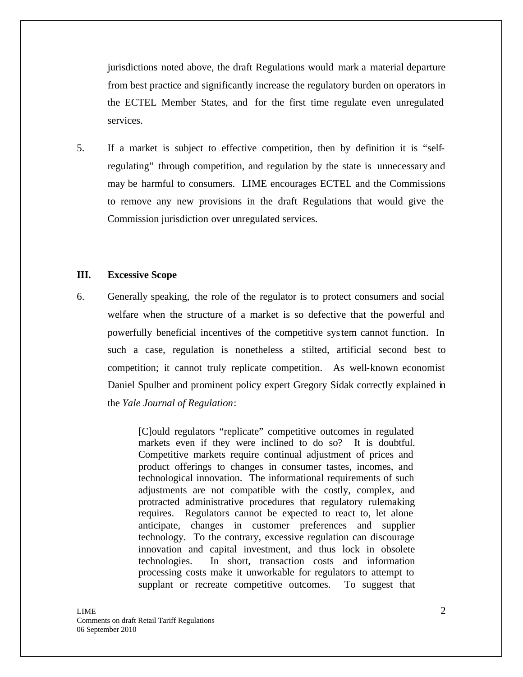jurisdictions noted above, the draft Regulations would mark a material departure from best practice and significantly increase the regulatory burden on operators in the ECTEL Member States, and for the first time regulate even unregulated services.

5. If a market is subject to effective competition, then by definition it is "selfregulating" through competition, and regulation by the state is unnecessary and may be harmful to consumers. LIME encourages ECTEL and the Commissions to remove any new provisions in the draft Regulations that would give the Commission jurisdiction over unregulated services.

#### **III. Excessive Scope**

6. Generally speaking, the role of the regulator is to protect consumers and social welfare when the structure of a market is so defective that the powerful and powerfully beneficial incentives of the competitive system cannot function. In such a case, regulation is nonetheless a stilted, artificial second best to competition; it cannot truly replicate competition. As well-known economist Daniel Spulber and prominent policy expert Gregory Sidak correctly explained in the *Yale Journal of Regulation*:

> [C]ould regulators "replicate" competitive outcomes in regulated markets even if they were inclined to do so? It is doubtful. Competitive markets require continual adjustment of prices and product offerings to changes in consumer tastes, incomes, and technological innovation. The informational requirements of such adjustments are not compatible with the costly, complex, and protracted administrative procedures that regulatory rulemaking requires. Regulators cannot be expected to react to, let alone anticipate, changes in customer preferences and supplier technology. To the contrary, excessive regulation can discourage innovation and capital investment, and thus lock in obsolete technologies. In short, transaction costs and information processing costs make it unworkable for regulators to attempt to supplant or recreate competitive outcomes. To suggest that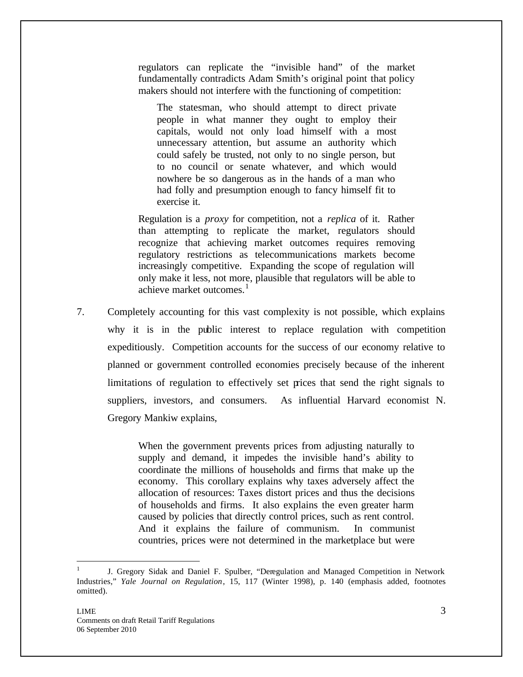regulators can replicate the "invisible hand" of the market fundamentally contradicts Adam Smith's original point that policy makers should not interfere with the functioning of competition:

The statesman, who should attempt to direct private people in what manner they ought to employ their capitals, would not only load himself with a most unnecessary attention, but assume an authority which could safely be trusted, not only to no single person, but to no council or senate whatever, and which would nowhere be so dangerous as in the hands of a man who had folly and presumption enough to fancy himself fit to exercise it.

Regulation is a *proxy* for competition, not a *replica* of it. Rather than attempting to replicate the market, regulators should recognize that achieving market outcomes requires removing regulatory restrictions as telecommunications markets become increasingly competitive. Expanding the scope of regulation will only make it less, not more, plausible that regulators will be able to achieve market outcomes.<sup>1</sup>

7. Completely accounting for this vast complexity is not possible, which explains why it is in the public interest to replace regulation with competition expeditiously. Competition accounts for the success of our economy relative to planned or government controlled economies precisely because of the inherent limitations of regulation to effectively set prices that send the right signals to suppliers, investors, and consumers. As influential Harvard economist N. Gregory Mankiw explains,

> When the government prevents prices from adjusting naturally to supply and demand, it impedes the invisible hand's ability to coordinate the millions of households and firms that make up the economy. This corollary explains why taxes adversely affect the allocation of resources: Taxes distort prices and thus the decisions of households and firms. It also explains the even greater harm caused by policies that directly control prices, such as rent control. And it explains the failure of communism. In communist countries, prices were not determined in the marketplace but were

 $\overline{a}$ 

<sup>1</sup> J. Gregory Sidak and Daniel F. Spulber, "Deregulation and Managed Competition in Network Industries," *Yale Journal on Regulation*, 15, 117 (Winter 1998), p. 140 (emphasis added, footnotes omitted).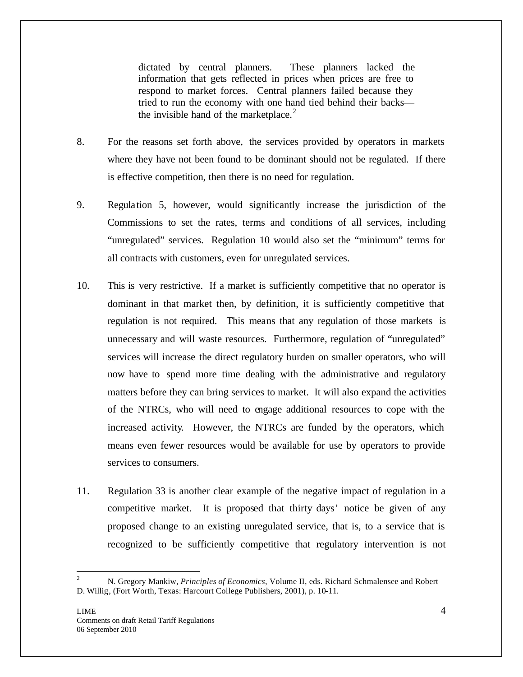dictated by central planners. These planners lacked the information that gets reflected in prices when prices are free to respond to market forces. Central planners failed because they tried to run the economy with one hand tied behind their backs the invisible hand of the marketplace. $2$ 

- 8. For the reasons set forth above, the services provided by operators in markets where they have not been found to be dominant should not be regulated. If there is effective competition, then there is no need for regulation.
- 9. Regulation 5, however, would significantly increase the jurisdiction of the Commissions to set the rates, terms and conditions of all services, including "unregulated" services. Regulation 10 would also set the "minimum" terms for all contracts with customers, even for unregulated services.
- 10. This is very restrictive. If a market is sufficiently competitive that no operator is dominant in that market then, by definition, it is sufficiently competitive that regulation is not required. This means that any regulation of those markets is unnecessary and will waste resources. Furthermore, regulation of "unregulated" services will increase the direct regulatory burden on smaller operators, who will now have to spend more time dealing with the administrative and regulatory matters before they can bring services to market. It will also expand the activities of the NTRCs, who will need to engage additional resources to cope with the increased activity. However, the NTRCs are funded by the operators, which means even fewer resources would be available for use by operators to provide services to consumers.
- 11. Regulation 33 is another clear example of the negative impact of regulation in a competitive market. It is proposed that thirty days' notice be given of any proposed change to an existing unregulated service, that is, to a service that is recognized to be sufficiently competitive that regulatory intervention is not

 $\overline{2}$ <sup>2</sup> N. Gregory Mankiw, *Principles of Economics*, Volume II, eds. Richard Schmalensee and Robert D. Willig, (Fort Worth, Texas: Harcourt College Publishers, 2001), p. 10-11.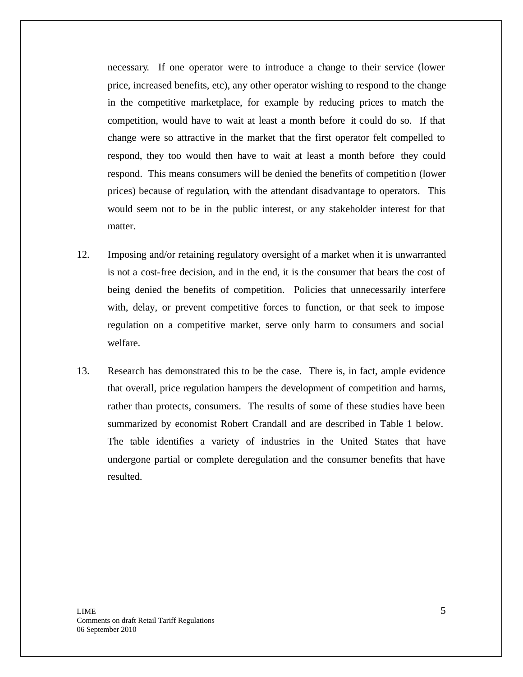necessary. If one operator were to introduce a change to their service (lower price, increased benefits, etc), any other operator wishing to respond to the change in the competitive marketplace, for example by reducing prices to match the competition, would have to wait at least a month before it could do so. If that change were so attractive in the market that the first operator felt compelled to respond, they too would then have to wait at least a month before they could respond. This means consumers will be denied the benefits of competition (lower prices) because of regulation, with the attendant disadvantage to operators. This would seem not to be in the public interest, or any stakeholder interest for that matter.

- 12. Imposing and/or retaining regulatory oversight of a market when it is unwarranted is not a cost-free decision, and in the end, it is the consumer that bears the cost of being denied the benefits of competition. Policies that unnecessarily interfere with, delay, or prevent competitive forces to function, or that seek to impose regulation on a competitive market, serve only harm to consumers and social welfare.
- 13. Research has demonstrated this to be the case. There is, in fact, ample evidence that overall, price regulation hampers the development of competition and harms, rather than protects, consumers. The results of some of these studies have been summarized by economist Robert Crandall and are described in Table 1 below. The table identifies a variety of industries in the United States that have undergone partial or complete deregulation and the consumer benefits that have resulted.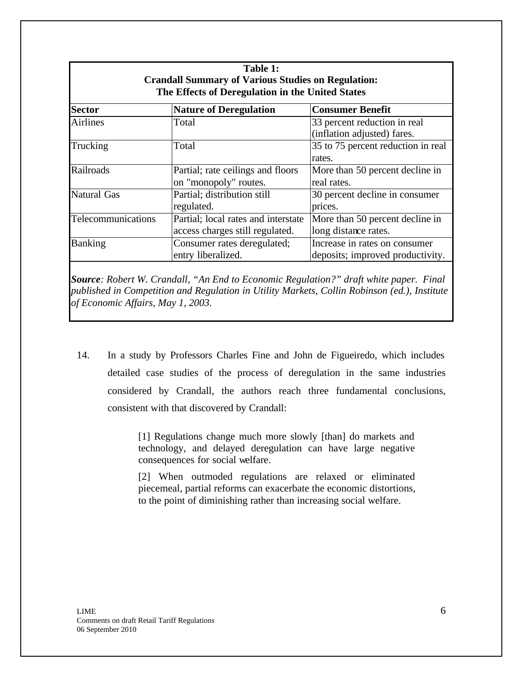| Table 1:<br><b>Crandall Summary of Various Studies on Regulation:</b><br>The Effects of Deregulation in the United States |                                                                        |                                                                   |
|---------------------------------------------------------------------------------------------------------------------------|------------------------------------------------------------------------|-------------------------------------------------------------------|
| <b>Sector</b>                                                                                                             | <b>Nature of Deregulation</b>                                          | <b>Consumer Benefit</b>                                           |
| <b>Airlines</b>                                                                                                           | Total                                                                  | 33 percent reduction in real<br>(inflation adjusted) fares.       |
| Trucking                                                                                                                  | Total                                                                  | 35 to 75 percent reduction in real<br>rates.                      |
| Railroads                                                                                                                 | Partial; rate ceilings and floors<br>on "monopoly" routes.             | More than 50 percent decline in<br>real rates.                    |
| <b>Natural Gas</b>                                                                                                        | Partial; distribution still<br>regulated.                              | 30 percent decline in consumer<br>prices.                         |
| Telecommunications                                                                                                        | Partial; local rates and interstate<br>access charges still regulated. | More than 50 percent decline in<br>long distance rates.           |
| <b>Banking</b>                                                                                                            | Consumer rates deregulated;<br>entry liberalized.                      | Increase in rates on consumer<br>deposits; improved productivity. |

*Source: Robert W. Crandall, "An End to Economic Regulation?" draft white paper. Final published in Competition and Regulation in Utility Markets, Collin Robinson (ed.), Institute of Economic Affairs, May 1, 2003.*

14. In a study by Professors Charles Fine and John de Figueiredo, which includes detailed case studies of the process of deregulation in the same industries considered by Crandall, the authors reach three fundamental conclusions, consistent with that discovered by Crandall:

> [1] Regulations change much more slowly [than] do markets and technology, and delayed deregulation can have large negative consequences for social welfare.

> [2] When outmoded regulations are relaxed or eliminated piecemeal, partial reforms can exacerbate the economic distortions, to the point of diminishing rather than increasing social welfare.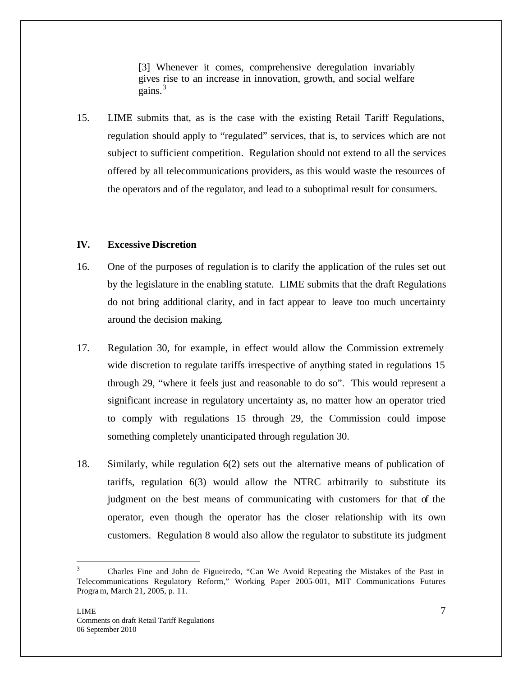[3] Whenever it comes, comprehensive deregulation invariably gives rise to an increase in innovation, growth, and social welfare gains.<sup>3</sup>

15. LIME submits that, as is the case with the existing Retail Tariff Regulations, regulation should apply to "regulated" services, that is, to services which are not subject to sufficient competition. Regulation should not extend to all the services offered by all telecommunications providers, as this would waste the resources of the operators and of the regulator, and lead to a suboptimal result for consumers.

## **IV. Excessive Discretion**

- 16. One of the purposes of regulation is to clarify the application of the rules set out by the legislature in the enabling statute. LIME submits that the draft Regulations do not bring additional clarity, and in fact appear to leave too much uncertainty around the decision making.
- 17. Regulation 30, for example, in effect would allow the Commission extremely wide discretion to regulate tariffs irrespective of anything stated in regulations 15 through 29, "where it feels just and reasonable to do so". This would represent a significant increase in regulatory uncertainty as, no matter how an operator tried to comply with regulations 15 through 29, the Commission could impose something completely unanticipated through regulation 30.
- 18. Similarly, while regulation 6(2) sets out the alternative means of publication of tariffs, regulation 6(3) would allow the NTRC arbitrarily to substitute its judgment on the best means of communicating with customers for that of the operator, even though the operator has the closer relationship with its own customers. Regulation 8 would also allow the regulator to substitute its judgment

 $\overline{a}$ 

<sup>3</sup> Charles Fine and John de Figueiredo, "Can We Avoid Repeating the Mistakes of the Past in Telecommunications Regulatory Reform," Working Paper 2005-001, MIT Communications Futures Program, March 21, 2005, p. 11.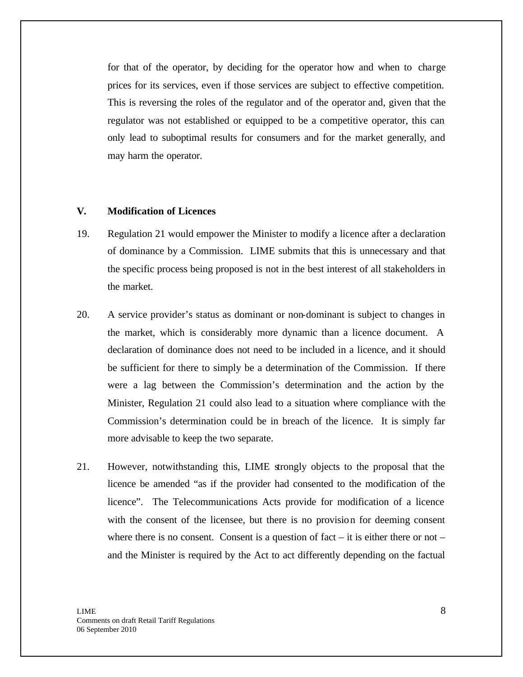for that of the operator, by deciding for the operator how and when to charge prices for its services, even if those services are subject to effective competition. This is reversing the roles of the regulator and of the operator and, given that the regulator was not established or equipped to be a competitive operator, this can only lead to suboptimal results for consumers and for the market generally, and may harm the operator.

## **V. Modification of Licences**

- 19. Regulation 21 would empower the Minister to modify a licence after a declaration of dominance by a Commission. LIME submits that this is unnecessary and that the specific process being proposed is not in the best interest of all stakeholders in the market.
- 20. A service provider's status as dominant or non-dominant is subject to changes in the market, which is considerably more dynamic than a licence document. A declaration of dominance does not need to be included in a licence, and it should be sufficient for there to simply be a determination of the Commission. If there were a lag between the Commission's determination and the action by the Minister, Regulation 21 could also lead to a situation where compliance with the Commission's determination could be in breach of the licence. It is simply far more advisable to keep the two separate.
- 21. However, notwithstanding this, LIME strongly objects to the proposal that the licence be amended "as if the provider had consented to the modification of the licence". The Telecommunications Acts provide for modification of a licence with the consent of the licensee, but there is no provision for deeming consent where there is no consent. Consent is a question of fact  $-$  it is either there or not  $$ and the Minister is required by the Act to act differently depending on the factual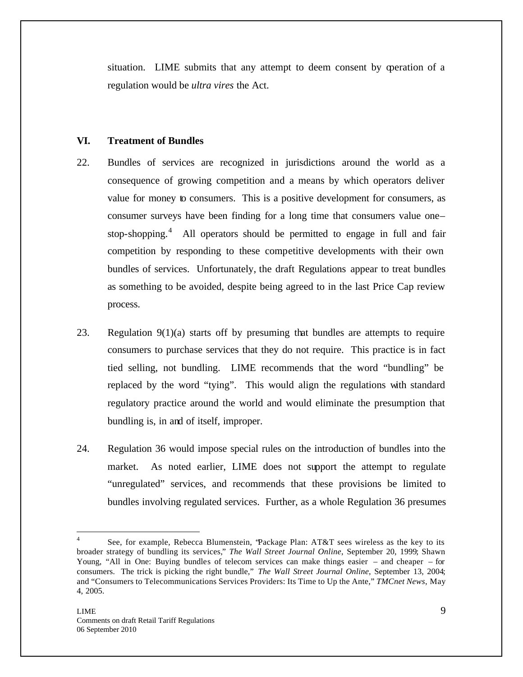situation. LIME submits that any attempt to deem consent by operation of a regulation would be *ultra vires* the Act.

## **VI. Treatment of Bundles**

- 22. Bundles of services are recognized in jurisdictions around the world as a consequence of growing competition and a means by which operators deliver value for money to consumers. This is a positive development for consumers, as consumer surveys have been finding for a long time that consumers value one– stop-shopping.<sup>4</sup> All operators should be permitted to engage in full and fair competition by responding to these competitive developments with their own bundles of services. Unfortunately, the draft Regulations appear to treat bundles as something to be avoided, despite being agreed to in the last Price Cap review process.
- 23. Regulation 9(1)(a) starts off by presuming that bundles are attempts to require consumers to purchase services that they do not require. This practice is in fact tied selling, not bundling. LIME recommends that the word "bundling" be replaced by the word "tying". This would align the regulations with standard regulatory practice around the world and would eliminate the presumption that bundling is, in and of itself, improper.
- 24. Regulation 36 would impose special rules on the introduction of bundles into the market. As noted earlier, LIME does not support the attempt to regulate "unregulated" services, and recommends that these provisions be limited to bundles involving regulated services. Further, as a whole Regulation 36 presumes

 $\overline{a}$ 

<sup>4</sup> See, for example, Rebecca Blumenstein, "Package Plan: AT&T sees wireless as the key to its broader strategy of bundling its services," *The Wall Street Journal Online*, September 20, 1999; Shawn Young, "All in One: Buying bundles of telecom services can make things easier – and cheaper – for consumers. The trick is picking the right bundle," *The Wall Street Journal Online*, September 13, 2004; and "Consumers to Telecommunications Services Providers: Its Time to Up the Ante," *TMCnet News*, May 4, 2005.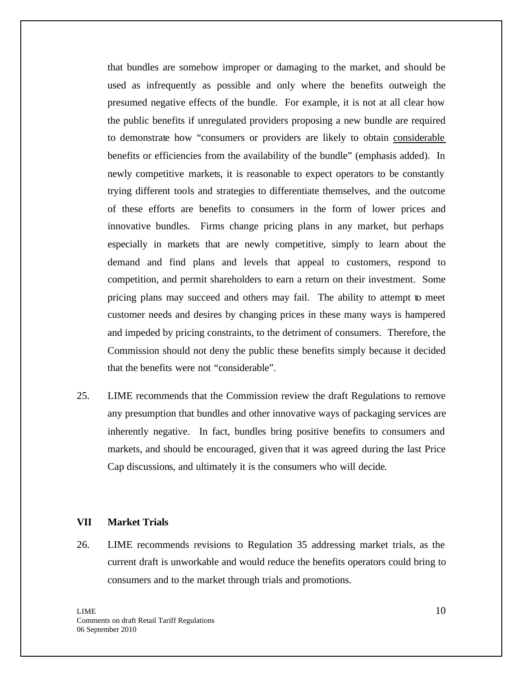that bundles are somehow improper or damaging to the market, and should be used as infrequently as possible and only where the benefits outweigh the presumed negative effects of the bundle. For example, it is not at all clear how the public benefits if unregulated providers proposing a new bundle are required to demonstrate how "consumers or providers are likely to obtain considerable benefits or efficiencies from the availability of the bundle" (emphasis added). In newly competitive markets, it is reasonable to expect operators to be constantly trying different tools and strategies to differentiate themselves, and the outcome of these efforts are benefits to consumers in the form of lower prices and innovative bundles. Firms change pricing plans in any market, but perhaps especially in markets that are newly competitive, simply to learn about the demand and find plans and levels that appeal to customers, respond to competition, and permit shareholders to earn a return on their investment. Some pricing plans may succeed and others may fail. The ability to attempt to meet customer needs and desires by changing prices in these many ways is hampered and impeded by pricing constraints, to the detriment of consumers. Therefore, the Commission should not deny the public these benefits simply because it decided that the benefits were not "considerable".

25. LIME recommends that the Commission review the draft Regulations to remove any presumption that bundles and other innovative ways of packaging services are inherently negative. In fact, bundles bring positive benefits to consumers and markets, and should be encouraged, given that it was agreed during the last Price Cap discussions, and ultimately it is the consumers who will decide.

#### **VII Market Trials**

26. LIME recommends revisions to Regulation 35 addressing market trials, as the current draft is unworkable and would reduce the benefits operators could bring to consumers and to the market through trials and promotions.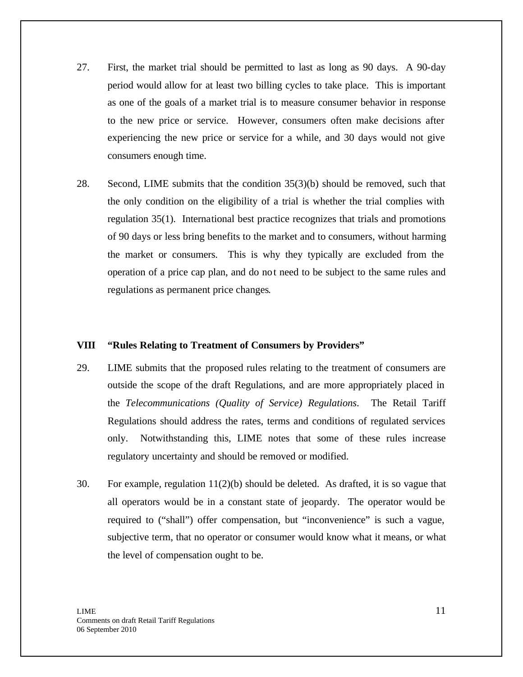- 27. First, the market trial should be permitted to last as long as 90 days. A 90-day period would allow for at least two billing cycles to take place. This is important as one of the goals of a market trial is to measure consumer behavior in response to the new price or service. However, consumers often make decisions after experiencing the new price or service for a while, and 30 days would not give consumers enough time.
- 28. Second, LIME submits that the condition 35(3)(b) should be removed, such that the only condition on the eligibility of a trial is whether the trial complies with regulation 35(1). International best practice recognizes that trials and promotions of 90 days or less bring benefits to the market and to consumers, without harming the market or consumers. This is why they typically are excluded from the operation of a price cap plan, and do not need to be subject to the same rules and regulations as permanent price changes.

#### **VIII "Rules Relating to Treatment of Consumers by Providers"**

- 29. LIME submits that the proposed rules relating to the treatment of consumers are outside the scope of the draft Regulations, and are more appropriately placed in the *Telecommunications (Quality of Service) Regulations*. The Retail Tariff Regulations should address the rates, terms and conditions of regulated services only. Notwithstanding this, LIME notes that some of these rules increase regulatory uncertainty and should be removed or modified.
- 30. For example, regulation 11(2)(b) should be deleted. As drafted, it is so vague that all operators would be in a constant state of jeopardy. The operator would be required to ("shall") offer compensation, but "inconvenience" is such a vague, subjective term, that no operator or consumer would know what it means, or what the level of compensation ought to be.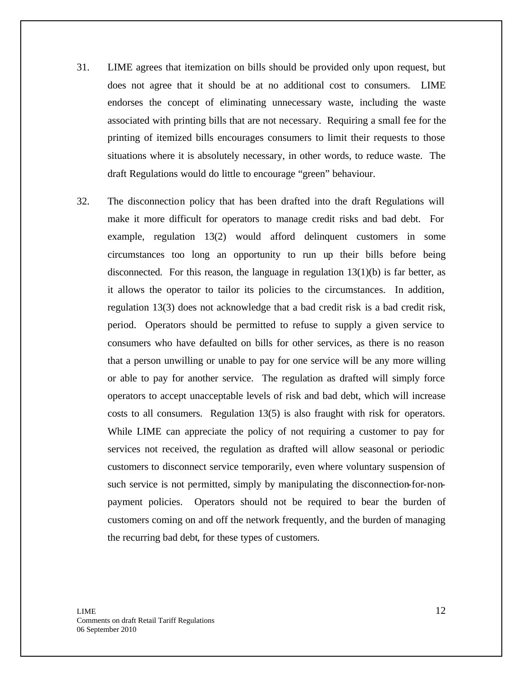- 31. LIME agrees that itemization on bills should be provided only upon request, but does not agree that it should be at no additional cost to consumers. LIME endorses the concept of eliminating unnecessary waste, including the waste associated with printing bills that are not necessary. Requiring a small fee for the printing of itemized bills encourages consumers to limit their requests to those situations where it is absolutely necessary, in other words, to reduce waste. The draft Regulations would do little to encourage "green" behaviour.
- 32. The disconnection policy that has been drafted into the draft Regulations will make it more difficult for operators to manage credit risks and bad debt. For example, regulation 13(2) would afford delinquent customers in some circumstances too long an opportunity to run up their bills before being disconnected. For this reason, the language in regulation  $13(1)(b)$  is far better, as it allows the operator to tailor its policies to the circumstances. In addition, regulation 13(3) does not acknowledge that a bad credit risk is a bad credit risk, period. Operators should be permitted to refuse to supply a given service to consumers who have defaulted on bills for other services, as there is no reason that a person unwilling or unable to pay for one service will be any more willing or able to pay for another service. The regulation as drafted will simply force operators to accept unacceptable levels of risk and bad debt, which will increase costs to all consumers. Regulation 13(5) is also fraught with risk for operators. While LIME can appreciate the policy of not requiring a customer to pay for services not received, the regulation as drafted will allow seasonal or periodic customers to disconnect service temporarily, even where voluntary suspension of such service is not permitted, simply by manipulating the disconnection-for-nonpayment policies. Operators should not be required to bear the burden of customers coming on and off the network frequently, and the burden of managing the recurring bad debt, for these types of customers.